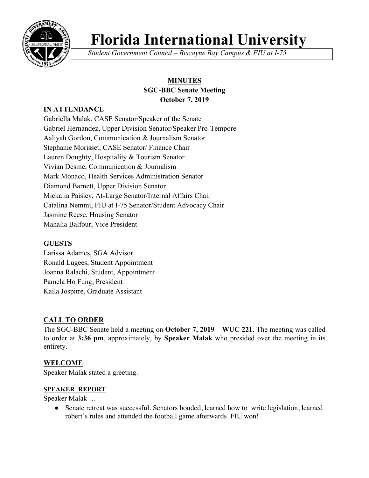

# **Florida International University**

*Student Government Council – Biscayne Bay Campus & FIU at I-75*

# **MINUTES SGC-BBC Senate Meeting October 7, 2019**

# **IN ATTENDANCE**

Gabriella Malak, CASE Senator/Speaker of the Senate Gabriel Hernandez, Upper Division Senator/Speaker Pro-Tempore Aaliyah Gordon, Communication & Journalism Senator Stephanie Morisset, CASE Senator/ Finance Chair Lauren Doughty, Hospitality & Tourism Senator Vivian Desme, Communication & Journalism Mark Monaco, Health Services Administration Senator Diamond Barnett, Upper Division Senator Mickalia Paisley, At-Large Senator/Internal Affairs Chair Catalina Nemmi, FIU at I-75 Senator/Student Advocacy Chair Jasmine Reese, Housing Senator Mahalia Balfour, Vice President

## **GUESTS**

Larissa Adames, SGA Advisor Ronald Lugees, Student Appointment Joanna Ralachi, Student, Appointment Pamela Ho Fung, President Kaila Jospitre, Graduate Assistant

# **CALL TO ORDER**

The SGC-BBC Senate held a meeting on **October 7, 2019** – **WUC 221**. The meeting was called to order at **3:36 pm**, approximately, by **Speaker Malak** who presided over the meeting in its entirety.

# **WELCOME**

Speaker Malak stated a greeting.

## **SPEAKER REPORT**

Speaker Malak …

● Senate retreat was successful. Senators bonded, learned how to write legislation, learned robert's rules and attended the football game afterwards. FIU won!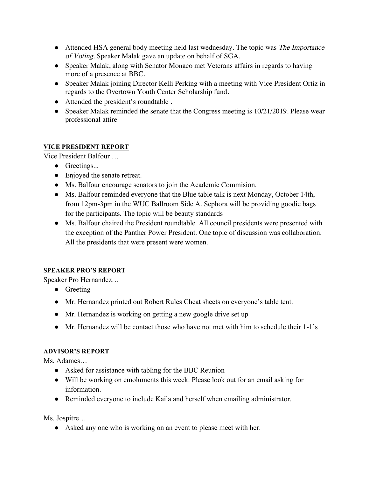- Attended HSA general body meeting held last wednesday. The topic was *The Importance* of Voting. Speaker Malak gave an update on behalf of SGA.
- Speaker Malak, along with Senator Monaco met Veterans affairs in regards to having more of a presence at BBC.
- Speaker Malak joining Director Kelli Perking with a meeting with Vice President Ortiz in regards to the Overtown Youth Center Scholarship fund.
- Attended the president's roundtable .
- Speaker Malak reminded the senate that the Congress meeting is 10/21/2019. Please wear professional attire

## **VICE PRESIDENT REPORT**

Vice President Balfour …

- Greetings...
- Enjoyed the senate retreat.
- Ms. Balfour encourage senators to join the Academic Commision.
- Ms. Balfour reminded everyone that the Blue table talk is next Monday, October 14th, from 12pm-3pm in the WUC Ballroom Side A. Sephora will be providing goodie bags for the participants. The topic will be beauty standards
- Ms. Balfour chaired the President roundtable. All council presidents were presented with the exception of the Panther Power President. One topic of discussion was collaboration. All the presidents that were present were women.

## **SPEAKER PRO'S REPORT**

Speaker Pro Hernandez…

- Greeting
- Mr. Hernandez printed out Robert Rules Cheat sheets on everyone's table tent.
- Mr. Hernandez is working on getting a new google drive set up
- $\bullet$  Mr. Hernandez will be contact those who have not met with him to schedule their 1-1's

## **ADVISOR'S REPORT**

Ms. Adames…

- Asked for assistance with tabling for the BBC Reunion
- Will be working on emoluments this week. Please look out for an email asking for information.
- Reminded everyone to include Kaila and herself when emailing administrator.

Ms. Jospitre…

● Asked any one who is working on an event to please meet with her.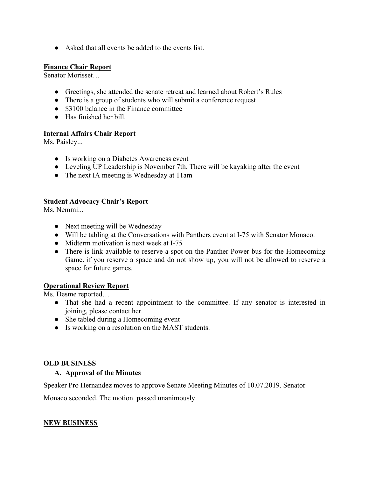● Asked that all events be added to the events list.

#### **Finance Chair Report**

Senator Morisset…

- Greetings, she attended the senate retreat and learned about Robert's Rules
- There is a group of students who will submit a conference request
- \$3100 balance in the Finance committee
- Has finished her bill

#### **Internal Affairs Chair Report**

Ms. Paisley...

- Is working on a Diabetes Awareness event
- Leveling UP Leadership is November 7th. There will be kayaking after the event
- The next IA meeting is Wednesday at 11am

## **Student Advocacy Chair's Report**

Ms. Nemmi...

- Next meeting will be Wednesday
- Will be tabling at the Conversations with Panthers event at I-75 with Senator Monaco.
- Midterm motivation is next week at I-75
- There is link available to reserve a spot on the Panther Power bus for the Homecoming Game. if you reserve a space and do not show up, you will not be allowed to reserve a space for future games.

## **Operational Review Report**

Ms. Desme reported…

- That she had a recent appointment to the committee. If any senator is interested in joining, please contact her.
- She tabled during a Homecoming event
- Is working on a resolution on the MAST students.

#### **OLD BUSINESS**

#### **A. Approval of the Minutes**

Speaker Pro Hernandez moves to approve Senate Meeting Minutes of 10.07.2019. Senator

Monaco seconded. The motion passed unanimously.

## **NEW BUSINESS**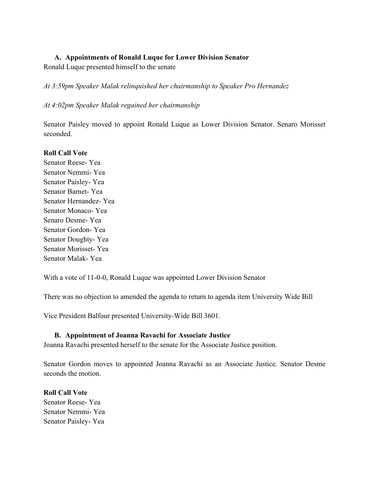#### **A. Appointments of Ronald Luque for Lower Division Senator**

Ronald Luque presented himself to the senate

*At 3:59pm Speaker Malak relinquished her chairmanship to Speaker Pro Hernandez*

#### *At 4:02pm Speaker Malak regained her chairmanship*

Senator Paisley moved to appoint Ronald Luque as Lower Division Senator. Senaro Morisset seconded.

#### **Roll Call Vote**

Senator Reese- Yea Senator Nemmi- Yea Senator Paisley- Yea Senator Barnet- Yea Senator Hernandez- Yea Senator Monaco- Yea Senaro Desme- Yea Senator Gordon- Yea Senator Doughty- Yea Senator Morisset- Yea Senator Malak- Yea

With a vote of 11-0-0, Ronald Luque was appointed Lower Division Senator

There was no objection to amended the agenda to return to agenda item University Wide Bill

Vice President Balfour presented University-Wide Bill 3601.

## **B. Appointment of Joanna Ravachi for Associate Justice**

Joanna Ravachi presented herself to the senate for the Associate Justice position.

Senator Gordon moves to appointed Joanna Ravachi as an Associate Justice. Senator Desme seconds the motion.

## **Roll Call Vote** Senator Reese- Yea Senator Nemmi- Yea

Senator Paisley- Yea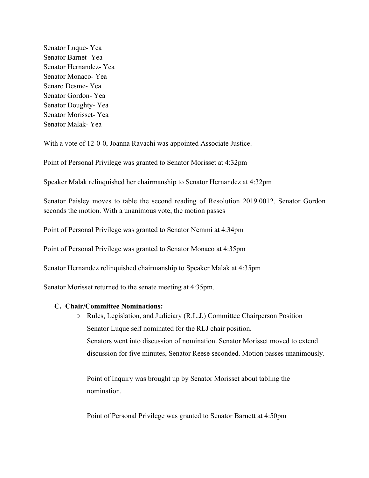Senator Luque- Yea Senator Barnet- Yea Senator Hernandez- Yea Senator Monaco- Yea Senaro Desme- Yea Senator Gordon- Yea Senator Doughty- Yea Senator Morisset- Yea Senator Malak- Yea

With a vote of 12-0-0, Joanna Ravachi was appointed Associate Justice.

Point of Personal Privilege was granted to Senator Morisset at 4:32pm

Speaker Malak relinquished her chairmanship to Senator Hernandez at 4:32pm

Senator Paisley moves to table the second reading of Resolution 2019.0012. Senator Gordon seconds the motion. With a unanimous vote, the motion passes

Point of Personal Privilege was granted to Senator Nemmi at 4:34pm

Point of Personal Privilege was granted to Senator Monaco at 4:35pm

Senator Hernandez relinquished chairmanship to Speaker Malak at 4:35pm

Senator Morisset returned to the senate meeting at 4:35pm.

#### **C. Chair/Committee Nominations:**

○ Rules, Legislation, and Judiciary (R.L.J.) Committee Chairperson Position Senator Luque self nominated for the RLJ chair position. Senators went into discussion of nomination. Senator Morisset moved to extend discussion for five minutes, Senator Reese seconded. Motion passes unanimously.

Point of Inquiry was brought up by Senator Morisset about tabling the nomination.

Point of Personal Privilege was granted to Senator Barnett at 4:50pm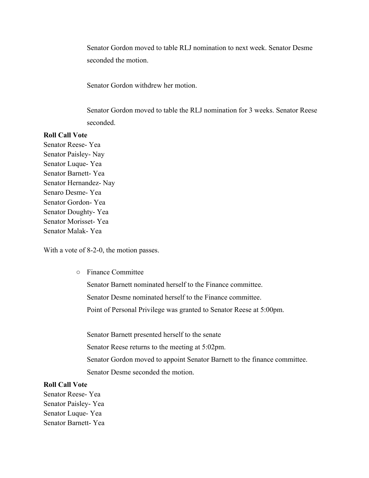Senator Gordon moved to table RLJ nomination to next week. Senator Desme seconded the motion.

Senator Gordon withdrew her motion.

Senator Gordon moved to table the RLJ nomination for 3 weeks. Senator Reese seconded.

#### **Roll Call Vote**

Senator Reese- Yea Senator Paisley- Nay Senator Luque- Yea Senator Barnett- Yea Senator Hernandez- Nay Senaro Desme- Yea Senator Gordon- Yea Senator Doughty- Yea Senator Morisset- Yea Senator Malak- Yea

With a vote of 8-2-0, the motion passes.

○ Finance Committee

Senator Barnett nominated herself to the Finance committee.

Senator Desme nominated herself to the Finance committee.

Point of Personal Privilege was granted to Senator Reese at 5:00pm.

Senator Barnett presented herself to the senate Senator Reese returns to the meeting at 5:02pm. Senator Gordon moved to appoint Senator Barnett to the finance committee. Senator Desme seconded the motion.

#### **Roll Call Vote**

Senator Reese- Yea Senator Paisley- Yea Senator Luque- Yea Senator Barnett- Yea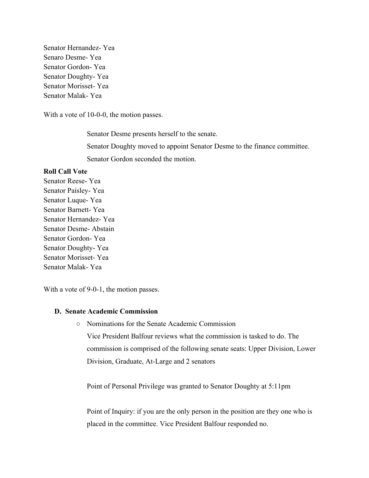Senator Hernandez- Yea Senaro Desme- Yea Senator Gordon- Yea Senator Doughty- Yea Senator Morisset- Yea Senator Malak- Yea

With a vote of 10-0-0, the motion passes.

Senator Desme presents herself to the senate. Senator Doughty moved to appoint Senator Desme to the finance committee. Senator Gordon seconded the motion.

#### **Roll Call Vote**

Senator Reese- Yea Senator Paisley- Yea Senator Luque- Yea Senator Barnett- Yea Senator Hernandez- Yea Senator Desme- Abstain Senator Gordon- Yea Senator Doughty- Yea Senator Morisset- Yea Senator Malak- Yea

With a vote of 9-0-1, the motion passes.

#### **D. Senate Academic Commission**

○ Nominations for the Senate Academic Commission Vice President Balfour reviews what the commission is tasked to do. The commission is comprised of the following senate seats: Upper Division, Lower Division, Graduate, At-Large and 2 senators

Point of Personal Privilege was granted to Senator Doughty at 5:11pm

Point of Inquiry: if you are the only person in the position are they one who is placed in the committee. Vice President Balfour responded no.